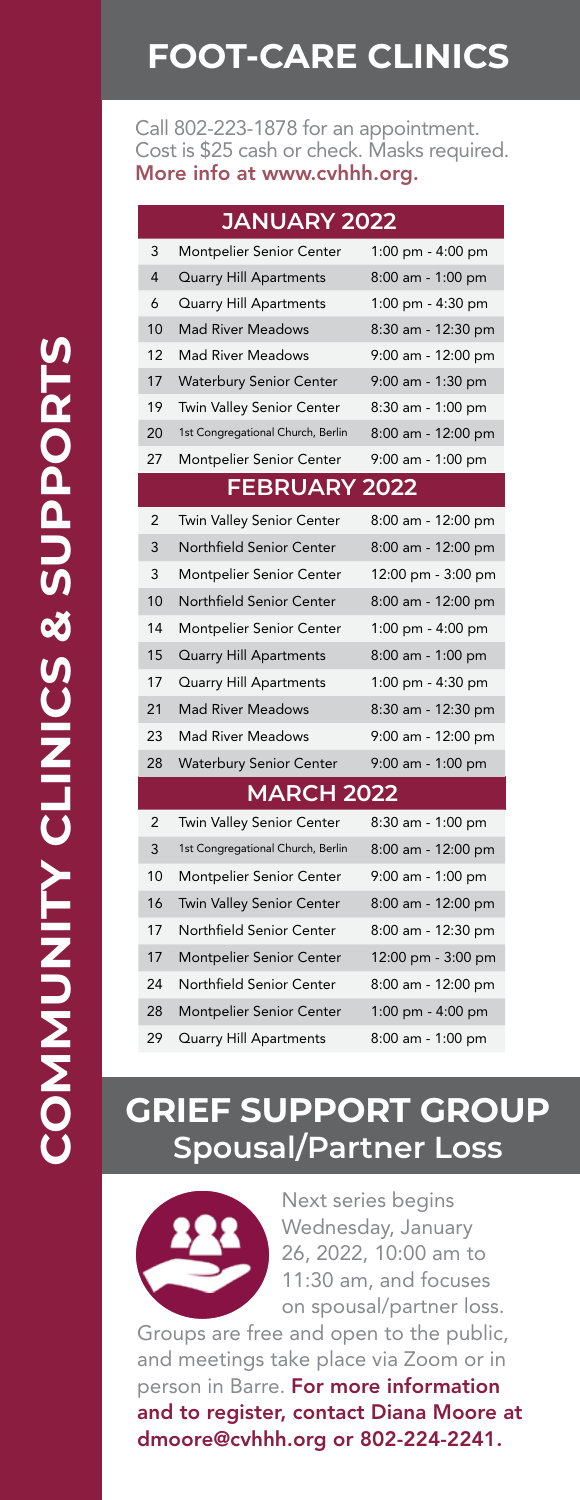### **FOOT-CARE CLINICS**

Call 802-223-1878 for an appointment. Cost is \$25 cash or check. Masks required. More info at www.cvhhh.org.

| <b>JANUARY 2022</b>  |                                   |                     |
|----------------------|-----------------------------------|---------------------|
| 3                    | <b>Montpelier Senior Center</b>   | 1:00 pm - 4:00 pm   |
| $\overline{4}$       | <b>Quarry Hill Apartments</b>     | 8:00 am - 1:00 pm   |
| 6                    | <b>Quarry Hill Apartments</b>     | 1:00 pm - 4:30 pm   |
| 10                   | <b>Mad River Meadows</b>          | 8:30 am - 12:30 pm  |
| 12                   | <b>Mad River Meadows</b>          | 9:00 am - 12:00 pm  |
| 17                   | <b>Waterbury Senior Center</b>    | 9:00 am - 1:30 pm   |
| 19                   | <b>Twin Valley Senior Center</b>  | 8:30 am - 1:00 pm   |
| 20                   | 1st Congregational Church, Berlin | 8:00 am - 12:00 pm  |
| 27                   | Montpelier Senior Center          | 9:00 am - 1:00 pm   |
| <b>FEBRUARY 2022</b> |                                   |                     |
| $\overline{2}$       | Twin Valley Senior Center         | 8:00 am - 12:00 pm  |
| 3                    | Northfield Senior Center          | 8:00 am - 12:00 pm  |
| 3                    | <b>Montpelier Senior Center</b>   | 12:00 pm - 3:00 pm  |
| 10                   | Northfield Senior Center          | 8:00 am - 12:00 pm  |
| 14                   | Montpelier Senior Center          | 1:00 pm - $4:00$ pm |
| 15                   | <b>Quarry Hill Apartments</b>     | 8:00 am - 1:00 pm   |
| 17                   | <b>Quarry Hill Apartments</b>     | 1:00 pm - 4:30 pm   |
| 21                   | <b>Mad River Meadows</b>          | 8:30 am - 12:30 pm  |
| 23                   | <b>Mad River Meadows</b>          | 9:00 am - 12:00 pm  |
| 28                   | <b>Waterbury Senior Center</b>    | 9:00 am - 1:00 pm   |
| <b>MARCH 2022</b>    |                                   |                     |
| $\overline{2}$       | <b>Twin Valley Senior Center</b>  | 8:30 am - 1:00 pm   |
| 3                    | 1st Congregational Church, Berlin | 8:00 am - 12:00 pm  |
| 10                   | <b>Montpelier Senior Center</b>   | 9:00 am - 1:00 pm   |
| 16                   | <b>Twin Valley Senior Center</b>  | 8:00 am - 12:00 pm  |
| 17                   | Northfield Senior Center          | 8:00 am - 12:30 pm  |
| 17                   | <b>Montpelier Senior Center</b>   | 12:00 pm - 3:00 pm  |
| 24                   | Northfield Senior Center          | 8:00 am - 12:00 pm  |
| 28                   | <b>Montpelier Senior Center</b>   | 1:00 pm - 4:00 pm   |
| 29                   | Quarry Hill Apartments            | 8:00 am - 1:00 pm   |

#### **GRIEF SUPPORT GROUP Spousal/Partner Loss**



Next series begins Wednesday, January 26, 2022, 10:00 am to 11:30 am, and focuses on spousal/partner loss.

Groups are free and open to the public, and meetings take place via Zoom or in person in Barre. For more information and to register, contact Diana Moore at dmoore@cvhhh.org or 802-224-2241.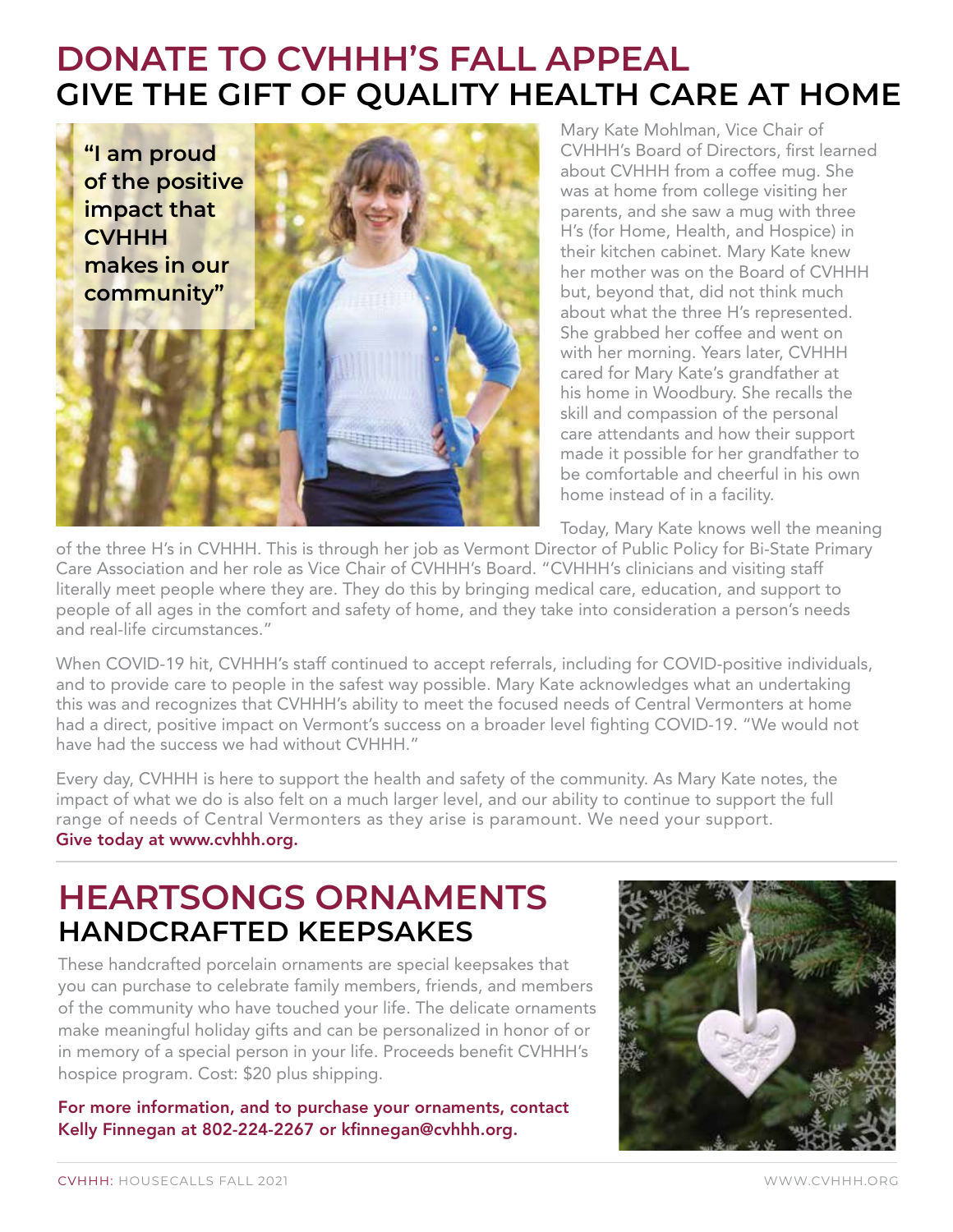### **DONATE TO CVHHH'S FALL APPEAL GIVE THE GIFT OF QUALITY HEALTH CARE AT HOME**



Mary Kate Mohlman, Vice Chair of CVHHH's Board of Directors, first learned about CVHHH from a coffee mug. She was at home from college visiting her parents, and she saw a mug with three H's (for Home, Health, and Hospice) in their kitchen cabinet. Mary Kate knew her mother was on the Board of CVHHH but, beyond that, did not think much about what the three H's represented. She grabbed her coffee and went on with her morning. Years later, CVHHH cared for Mary Kate's grandfather at his home in Woodbury. She recalls the skill and compassion of the personal care attendants and how their support made it possible for her grandfather to be comfortable and cheerful in his own home instead of in a facility.

Today, Mary Kate knows well the meaning

of the three H's in CVHHH. This is through her job as Vermont Director of Public Policy for Bi-State Primary Care Association and her role as Vice Chair of CVHHH's Board. "CVHHH's clinicians and visiting staff literally meet people where they are. They do this by bringing medical care, education, and support to people of all ages in the comfort and safety of home, and they take into consideration a person's needs and real-life circumstances."

When COVID-19 hit, CVHHH's staff continued to accept referrals, including for COVID-positive individuals, and to provide care to people in the safest way possible. Mary Kate acknowledges what an undertaking this was and recognizes that CVHHH's ability to meet the focused needs of Central Vermonters at home had a direct, positive impact on Vermont's success on a broader level fighting COVID-19. "We would not have had the success we had without CVHHH."

Every day, CVHHH is here to support the health and safety of the community. As Mary Kate notes, the impact of what we do is also felt on a much larger level, and our ability to continue to support the full range of needs of Central Vermonters as they arise is paramount. We need your support. Give today at www.cvhhh.org.

### **HEARTSONGS ORNAMENTS HANDCRAFTED KEEPSAKES**

These handcrafted porcelain ornaments are special keepsakes that you can purchase to celebrate family members, friends, and members of the community who have touched your life. The delicate ornaments make meaningful holiday gifts and can be personalized in honor of or in memory of a special person in your life. Proceeds benefit CVHHH's hospice program. Cost: \$20 plus shipping.

For more information, and to purchase your ornaments, contact Kelly Finnegan at 802-224-2267 or kfinnegan@cvhhh.org.

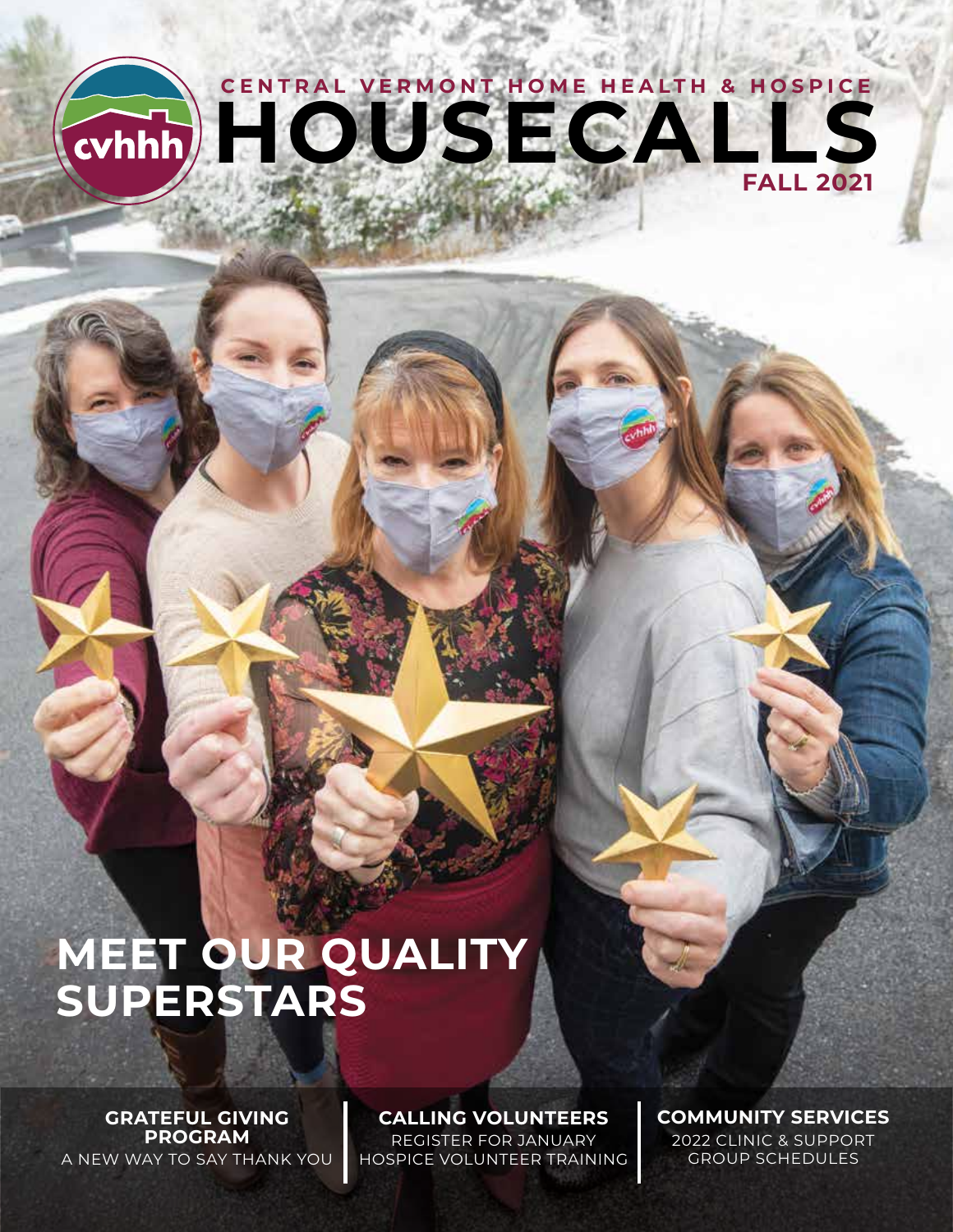# **HOUSECALLS CENTRAL VERMONT HOME HEALTH & HOSPICE FALL 2021**

# **MEET OUR QUALITY SUPERSTARS**

**GRATEFUL GIVING PROGRAM** A NEW WAY TO SAY THANK YOU **CALLING VOLUNTEERS**

REGISTER FOR JANUARY HOSPICE VOLUNTEER TRAINING **COMMUNITY SERVICES**  2022 CLINIC & SUPPORT GROUP SCHEDULES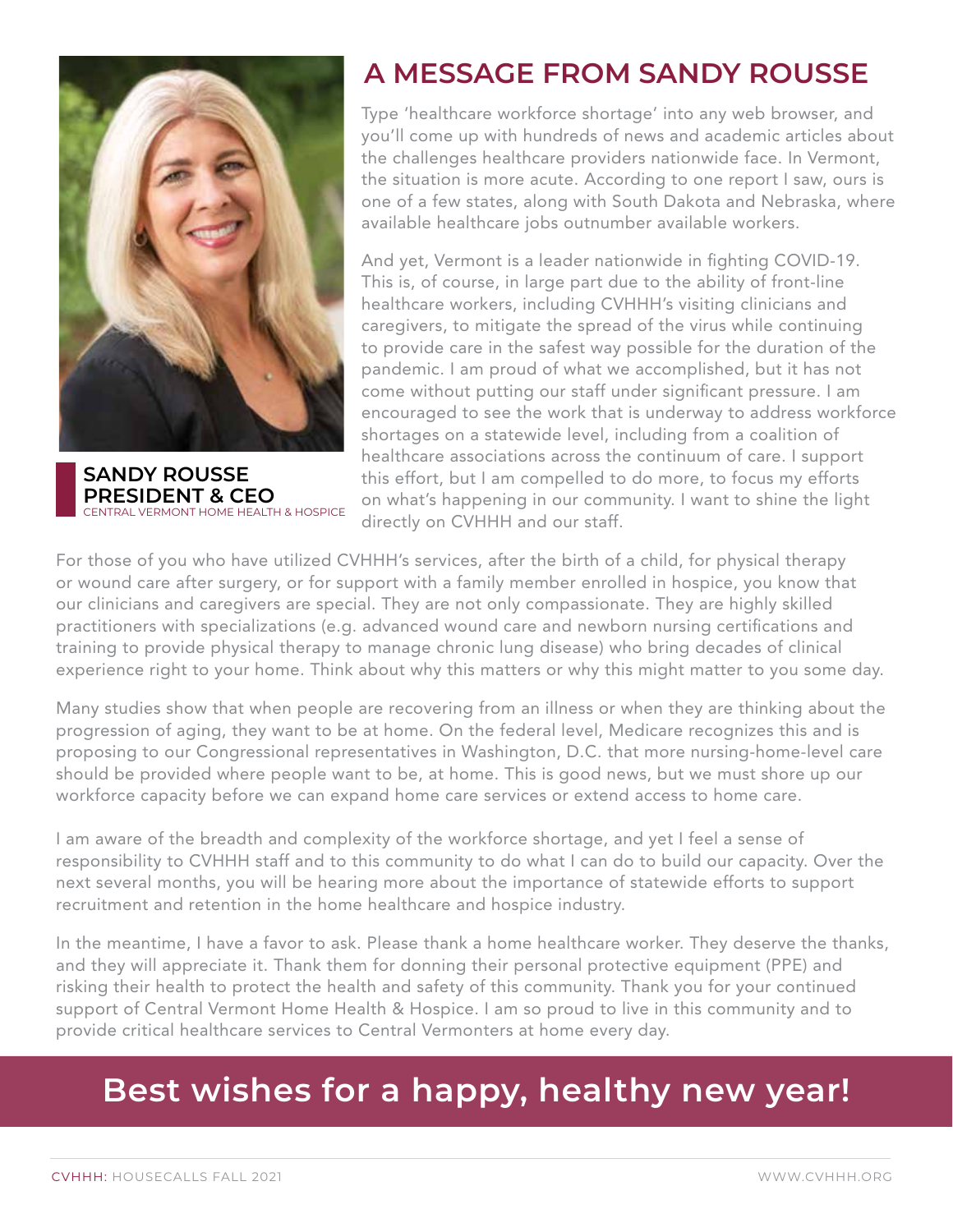

**SANDY ROUSSE PRESIDENT & CEO**  CENTRAL CHANGE OF THE CHANGE OF THE VERMONT HOME HEALTH & HOSPICE

#### **A MESSAGE FROM SANDY ROUSSE**

Type 'healthcare workforce shortage' into any web browser, and you'll come up with hundreds of news and academic articles about the challenges healthcare providers nationwide face. In Vermont, the situation is more acute. According to one report I saw, ours is one of a few states, along with South Dakota and Nebraska, where available healthcare jobs outnumber available workers.

And yet, Vermont is a leader nationwide in fighting COVID-19. This is, of course, in large part due to the ability of front-line healthcare workers, including CVHHH's visiting clinicians and caregivers, to mitigate the spread of the virus while continuing to provide care in the safest way possible for the duration of the pandemic. I am proud of what we accomplished, but it has not come without putting our staff under significant pressure. I am encouraged to see the work that is underway to address workforce shortages on a statewide level, including from a coalition of healthcare associations across the continuum of care. I support this effort, but I am compelled to do more, to focus my efforts on what's happening in our community. I want to shine the light directly on CVHHH and our staff.

For those of you who have utilized CVHHH's services, after the birth of a child, for physical therapy or wound care after surgery, or for support with a family member enrolled in hospice, you know that our clinicians and caregivers are special. They are not only compassionate. They are highly skilled practitioners with specializations (e.g. advanced wound care and newborn nursing certifications and training to provide physical therapy to manage chronic lung disease) who bring decades of clinical experience right to your home. Think about why this matters or why this might matter to you some day.

Many studies show that when people are recovering from an illness or when they are thinking about the progression of aging, they want to be at home. On the federal level, Medicare recognizes this and is proposing to our Congressional representatives in Washington, D.C. that more nursing-home-level care should be provided where people want to be, at home. This is good news, but we must shore up our workforce capacity before we can expand home care services or extend access to home care.

I am aware of the breadth and complexity of the workforce shortage, and yet I feel a sense of responsibility to CVHHH staff and to this community to do what I can do to build our capacity. Over the next several months, you will be hearing more about the importance of statewide efforts to support recruitment and retention in the home healthcare and hospice industry.

In the meantime, I have a favor to ask. Please thank a home healthcare worker. They deserve the thanks, and they will appreciate it. Thank them for donning their personal protective equipment (PPE) and risking their health to protect the health and safety of this community. Thank you for your continued support of Central Vermont Home Health & Hospice. I am so proud to live in this community and to provide critical healthcare services to Central Vermonters at home every day.

### **Best wishes for a happy, healthy new year!**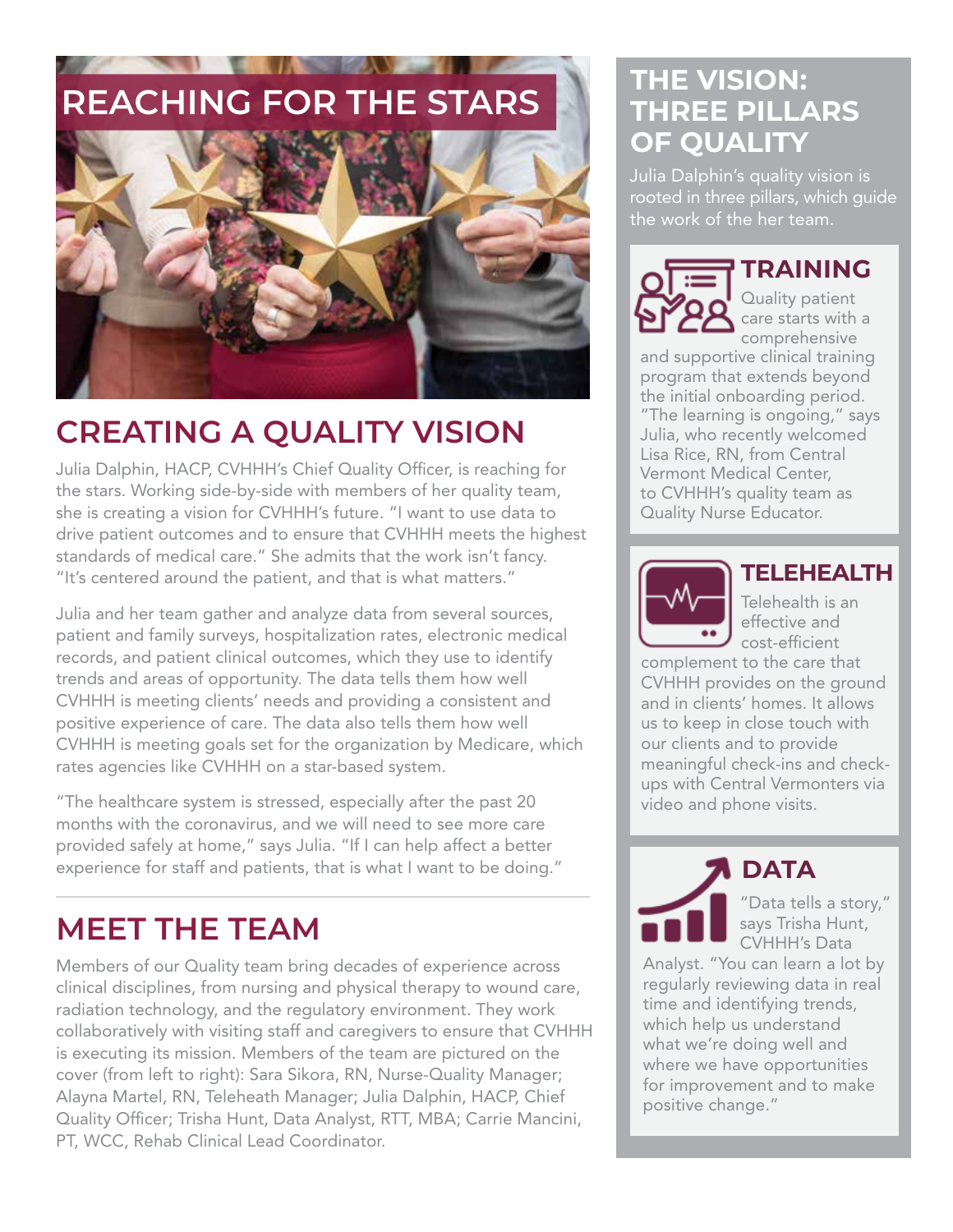

## **CREATING A QUALITY VISION**

Julia Dalphin, HACP, CVHHH's Chief Quality Officer, is reaching for the stars. Working side-by-side with members of her quality team, she is creating a vision for CVHHH's future. "I want to use data to drive patient outcomes and to ensure that CVHHH meets the highest standards of medical care." She admits that the work isn't fancy. "It's centered around the patient, and that is what matters."

Julia and her team gather and analyze data from several sources, patient and family surveys, hospitalization rates, electronic medical records, and patient clinical outcomes, which they use to identify trends and areas of opportunity. The data tells them how well CVHHH is meeting clients' needs and providing a consistent and positive experience of care. The data also tells them how well CVHHH is meeting goals set for the organization by Medicare, which rates agencies like CVHHH on a star-based system.

"The healthcare system is stressed, especially after the past 20 months with the coronavirus, and we will need to see more care provided safely at home," says Julia. "If I can help affect a better experience for staff and patients, that is what I want to be doing."

### **MEET THE TEAM**

Members of our Quality team bring decades of experience across clinical disciplines, from nursing and physical therapy to wound care, radiation technology, and the regulatory environment. They work collaboratively with visiting staff and caregivers to ensure that CVHHH is executing its mission. Members of the team are pictured on the cover (from left to right): Sara Sikora, RN, Nurse-Quality Manager; Alayna Martel, RN, Teleheath Manager; Julia Dalphin, HACP, Chief Quality Officer; Trisha Hunt, Data Analyst, RTT, MBA; Carrie Mancini, PT, WCC, Rehab Clinical Lead Coordinator.

#### **THE VISION: THREE PILLARS OF QUALITY**

Julia Dalphin's quality vision is rooted in three pillars, which guide the work of the her team.



**TRAINING**

Quality patient care starts with a comprehensive

and supportive clinical training program that extends beyond the initial onboarding period. "The learning is ongoing," says Julia, who recently welcomed Lisa Rice, RN, from Central Vermont Medical Center, to CVHHH's quality team as Quality Nurse Educator.



#### **TELEHEALTH**

Telehealth is an effective and cost-efficient

complement to the care that CVHHH provides on the ground and in clients' homes. It allows us to keep in close touch with our clients and to provide meaningful check-ins and checkups with Central Vermonters via video and phone visits.

**DATA**

"Data tells a story," says Trisha Hunt, CVHHH's Data

Analyst. "You can learn a lot by regularly reviewing data in real time and identifying trends, which help us understand what we're doing well and where we have opportunities for improvement and to make positive change."